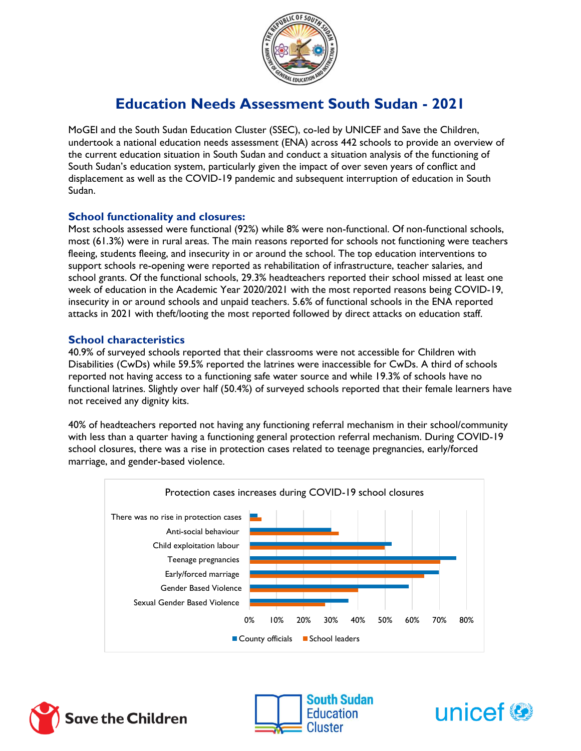

# **Education Needs Assessment South Sudan - 2021**

MoGEI and the South Sudan Education Cluster (SSEC), co-led by UNICEF and Save the Children, undertook a national education needs assessment (ENA) across 442 schools to provide an overview of the current education situation in South Sudan and conduct a situation analysis of the functioning of South Sudan's education system, particularly given the impact of over seven years of conflict and displacement as well as the COVID-19 pandemic and subsequent interruption of education in South Sudan.

#### **School functionality and closures:**

Most schools assessed were functional (92%) while 8% were non-functional. Of non-functional schools, most (61.3%) were in rural areas. The main reasons reported for schools not functioning were teachers fleeing, students fleeing, and insecurity in or around the school. The top education interventions to support schools re-opening were reported as rehabilitation of infrastructure, teacher salaries, and school grants. Of the functional schools, 29.3% headteachers reported their school missed at least one week of education in the Academic Year 2020/2021 with the most reported reasons being COVID-19, insecurity in or around schools and unpaid teachers. 5.6% of functional schools in the ENA reported attacks in 2021 with theft/looting the most reported followed by direct attacks on education staff.

#### **School characteristics**

40.9% of surveyed schools reported that their classrooms were not accessible for Children with Disabilities (CwDs) while 59.5% reported the latrines were inaccessible for CwDs. A third of schools reported not having access to a functioning safe water source and while 19.3% of schools have no functional latrines. Slightly over half (50.4%) of surveyed schools reported that their female learners have not received any dignity kits.

40% of headteachers reported not having any functioning referral mechanism in their school/community with less than a quarter having a functioning general protection referral mechanism. During COVID-19 school closures, there was a rise in protection cases related to teenage pregnancies, early/forced marriage, and gender-based violence.







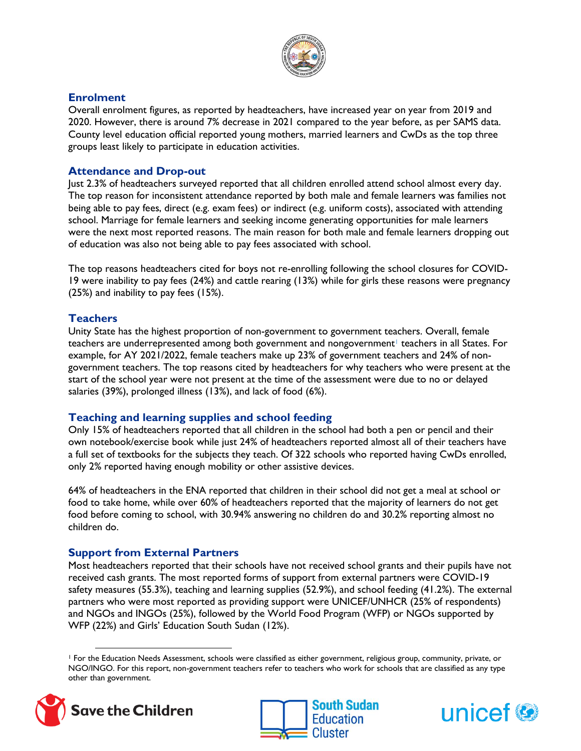

#### **Enrolment**

Overall enrolment figures, as reported by headteachers, have increased year on year from 2019 and 2020. However, there is around 7% decrease in 2021 compared to the year before, as per SAMS data. County level education official reported young mothers, married learners and CwDs as the top three groups least likely to participate in education activities.

#### **Attendance and Drop-out**

Just 2.3% of headteachers surveyed reported that all children enrolled attend school almost every day. The top reason for inconsistent attendance reported by both male and female learners was families not being able to pay fees, direct (e.g. exam fees) or indirect (e.g. uniform costs), associated with attending school. Marriage for female learners and seeking income generating opportunities for male learners were the next most reported reasons. The main reason for both male and female learners dropping out of education was also not being able to pay fees associated with school.

The top reasons headteachers cited for boys not re-enrolling following the school closures for COVID-19 were inability to pay fees (24%) and cattle rearing (13%) while for girls these reasons were pregnancy (25%) and inability to pay fees (15%).

# **Teachers**

Unity State has the highest proportion of non-government to government teachers. Overall, female teachers are underrepresented among both government and nongovernment<sup>1</sup> teachers in all States. For example, for AY 2021/2022, female teachers make up 23% of government teachers and 24% of nongovernment teachers. The top reasons cited by headteachers for why teachers who were present at the start of the school year were not present at the time of the assessment were due to no or delayed salaries (39%), prolonged illness (13%), and lack of food (6%).

# **Teaching and learning supplies and school feeding**

Only 15% of headteachers reported that all children in the school had both a pen or pencil and their own notebook/exercise book while just 24% of headteachers reported almost all of their teachers have a full set of textbooks for the subjects they teach. Of 322 schools who reported having CwDs enrolled, only 2% reported having enough mobility or other assistive devices.

64% of headteachers in the ENA reported that children in their school did not get a meal at school or food to take home, while over 60% of headteachers reported that the majority of learners do not get food before coming to school, with 30.94% answering no children do and 30.2% reporting almost no children do.

# **Support from External Partners**

Most headteachers reported that their schools have not received school grants and their pupils have not received cash grants. The most reported forms of support from external partners were COVID-19 safety measures (55.3%), teaching and learning supplies (52.9%), and school feeding (41.2%). The external partners who were most reported as providing support were UNICEF/UNHCR (25% of respondents) and NGOs and INGOs (25%), followed by the World Food Program (WFP) or NGOs supported by WFP (22%) and Girls' Education South Sudan (12%).

<sup>1</sup> For the Education Needs Assessment, schools were classified as either government, religious group, community, private, or NGO/INGO. For this report, non-government teachers refer to teachers who work for schools that are classified as any type other than government.